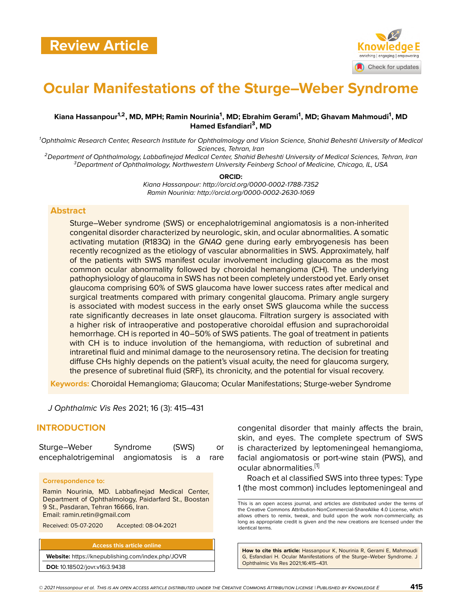

# **Ocular Manifestations of the Sturge–Weber Syndrome**

#### **Kiana Hassanpour1,2, MD, MPH; Ramin Nourinia<sup>1</sup> , MD; Ebrahim Gerami<sup>1</sup> , MD; Ghavam Mahmoudi<sup>1</sup> , MD Hamed Esfandiari<sup>3</sup> , MD**

*<sup>1</sup>Ophthalmic Research Center, Research Institute for Ophthalmology and Vision Science, Shahid Beheshti University of Medical Sciences, Tehran, Iran*

*<sup>2</sup>Department of Ophthalmology, Labbafinejad Medical Center, Shahid Beheshti University of Medical Sciences, Tehran, Iran <sup>3</sup>Department of Ophthalmology, Northwestern University Feinberg School of Medicine, Chicago, IL, USA*

> **ORCID:** *Kiana Hassanpour: http://orcid.org/0000-0002-1788-7352 Ramin Nourinia: http://orcid.org/0000-0002-2630-1069*

#### **Abstract**

Sturge–Weber syndrome (SWS) or encephalotrigeminal angiomatosis is a non-inherited congenital disorder characterized by neurologic, skin, and ocular abnormalities. A somatic activating mutation (R183Q) in the *GNAQ* gene during early embryogenesis has been recently recognized as the etiology of vascular abnormalities in SWS. Approximately, half of the patients with SWS manifest ocular involvement including glaucoma as the most common ocular abnormality followed by choroidal hemangioma (CH). The underlying pathophysiology of glaucoma in SWS has not been completely understood yet. Early onset glaucoma comprising 60% of SWS glaucoma have lower success rates after medical and surgical treatments compared with primary congenital glaucoma. Primary angle surgery is associated with modest success in the early onset SWS glaucoma while the success rate significantly decreases in late onset glaucoma. Filtration surgery is associated with a higher risk of intraoperative and postoperative choroidal effusion and suprachoroidal hemorrhage. CH is reported in 40–50% of SWS patients. The goal of treatment in patients with CH is to induce involution of the hemangioma, with reduction of subretinal and intraretinal fluid and minimal damage to the neurosensory retina. The decision for treating diffuse CHs highly depends on the patient's visual acuity, the need for glaucoma surgery, the presence of subretinal fluid (SRF), its chronicity, and the potential for visual recovery.

**Keywords:** Choroidal Hemangioma; Glaucoma; Ocular Manifestations; Sturge-weber Syndrome

*J Ophthalmic Vis Res* 2021; 16 (3): 415–431

#### **INTRODUCTION**

| Sturge-Weber                        | Syndrome | (SWS) | or.  |
|-------------------------------------|----------|-------|------|
| encephalotrigeminal angiomatosis is |          |       | rare |

#### **Correspondence to:**

Ramin Nourinia, MD. Labbafinejad Medical Center, Department of Ophthalmology, Paidarfard St., Boostan 9 St., Pasdaran, Tehran 16666, Iran. Email: ramin.retin@gmail.com

Received: 05-07-2020 Accepted: 08-04-2021

**Access this article online**

**Website:** <https://knepublishing.com/index.php/JOVR> **DOI:** 10.18502/jovr.v16i3.9438

congenital disorder that mainly affects the brain, skin, and eyes. The complete spectrum of SWS is characterized by leptomeningeal hemangioma, facial angiomatosis or port-wine stain (PWS), and ocular abnormalities.[\[1\]](#page-13-0)

Roach et al classified SWS into three types: Type 1 (the most common) includes leptomeningeal and

**How to cite this article:** Hassanpour K, Nourinia R, Gerami E, Mahmoudi G, Esfandiari H. Ocular Manifestations of the Sturge–Weber Syndrome. J Ophthalmic Vis Res 2021;16:415–431.

This is an open access journal, and articles are distributed under the terms of the Creative Commons Attribution-NonCommercial-ShareAlike 4.0 License, which allows others to remix, tweak, and build upon the work non-commercially, as long as appropriate credit is given and the new creations are licensed under the identical terms.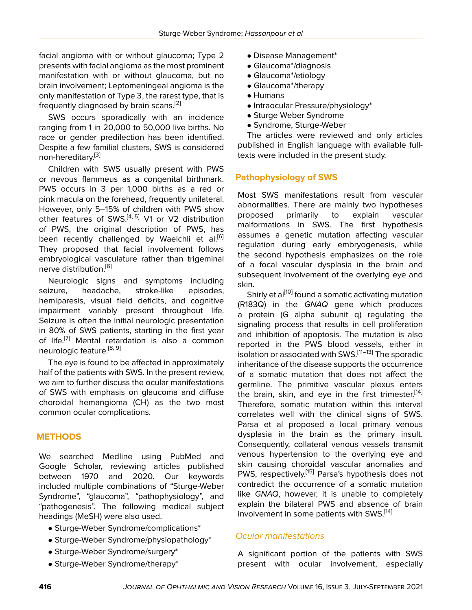facial angioma with or without glaucoma; Type 2 presents with facial angioma as the most prominent manifestation with or without glaucoma, but no brain involvement; Leptomeningeal angioma is the only manifestation of Type 3, the rarest type, that is frequently diagnosed by brain scans.[\[2\]](#page-13-1)

SWS occurs sporadically with an incidence ranging from 1 in 20,000 to 50,000 live births. No race or gender predilection has been identified. Despite a few familial clusters, SWS is considered non-hereditary.[\[3](#page-13-2)]

Children with SWS usually present with PWS or nevous flammeus as a congenital birthmark. PWS occurs in 3 per 1,000 births as a red or pink macula on the forehead, frequently unilateral. However, only 5–15% of children with PWS show other features of SWS. $[4, 5]$  $[4, 5]$  $[4, 5]$  $[4, 5]$  V1 or V2 distribution of PWS, the original description of PWS, has been recently challenged by Waelchli et al.<sup>[[6](#page-13-5)]</sup> They proposed that facial involvement follows embryological vasculature rather than trigeminal nerve distribution.<sup>[[6](#page-13-5)]</sup>

Neurologic signs and symptoms including seizure, headache, stroke-like episodes, hemiparesis, visual field deficits, and cognitive impairment variably present throughout life. Seizure is often the initial neurologic presentation in 80% of SWS patients, starting in the first year of life.<sup>[[7\]](#page-13-6)</sup> Mental retardation is also a common neurologic feature.<sup>[\[8,](#page-13-7) [9\]](#page-13-8)</sup>

The eye is found to be affected in approximately half of the patients with SWS. In the present review, we aim to further discuss the ocular manifestations of SWS with emphasis on glaucoma and diffuse choroidal hemangioma (CH) as the two most common ocular complications.

#### **METHODS**

We searched Medline using PubMed and Google Scholar, reviewing articles published between 1970 and 2020. Our keywords included multiple combinations of "Sturge-Weber Syndrome", "glaucoma", "pathophysiology", and "pathogenesis". The following medical subject headings (MeSH) were also used.

- Sturge-Weber Syndrome/complications\*
- Sturge-Weber Syndrome/physiopathology\*
- Sturge-Weber Syndrome/surgery\*
- Sturge-Weber Syndrome/therapy\*
- Disease Management\*
- Glaucoma\*/diagnosis
- Glaucoma\*/etiology
- Glaucoma\*/therapy
- Humans
- Intraocular Pressure/physiology\*
- Sturge Weber Syndrome
- Syndrome, Sturge-Weber

The articles were reviewed and only articles published in English language with available fulltexts were included in the present study.

#### **Pathophysiology of SWS**

Most SWS manifestations result from vascular abnormalities. There are mainly two hypotheses proposed primarily to explain vascular malformations in SWS. The first hypothesis assumes a genetic mutation affecting vascular regulation during early embryogenesis, while the second hypothesis emphasizes on the role of a focal vascular dysplasia in the brain and subsequent involvement of the overlying eye and skin.

Shirly et al<sup>[[10\]](#page-13-9)</sup> found a somatic activating mutation (R183Q) in the *GNAQ* gene which produces a protein (G alpha subunit q) regulating the signaling process that results in cell proliferation and inhibition of apoptosis. The mutation is also reported in the PWS blood vessels, either in isolation or associated with SWS.<sup>[\[11–](#page-13-10)[13](#page-13-11)]</sup> The sporadic inheritance of the disease supports the occurrence of a somatic mutation that does not affect the germline. The primitive vascular plexus enters the brain, skin, and eye in the first trimester.<sup>[\[14](#page-13-12)]</sup> Therefore, somatic mutation within this interval correlates well with the clinical signs of SWS. Parsa et al proposed a local primary venous dysplasia in the brain as the primary insult. Consequently, collateral venous vessels transmit venous hypertension to the overlying eye and skin causing choroidal vascular anomalies and PWS, respectively.<sup>[\[15\]](#page-13-13)</sup> Parsa's hypothesis does not contradict the occurrence of a somatic mutation like *GNAQ*, however, it is unable to completely explain the bilateral PWS and absence of brain involvement in some patients with SWS.<sup>[\[14](#page-13-12)]</sup>

# *Ocular manifestations*

A significant portion of the patients with SWS present with ocular involvement, especially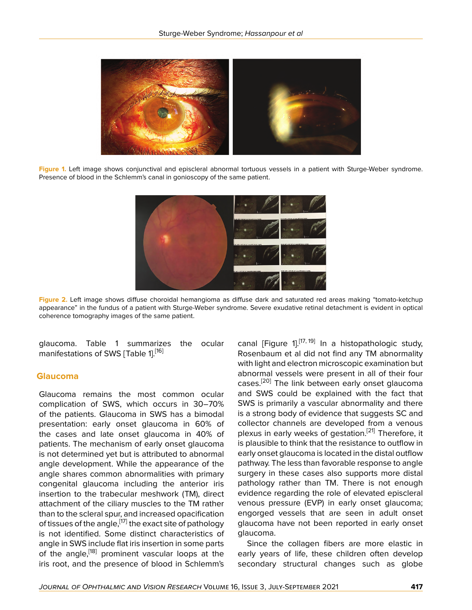

**Figure 1.** Left image shows conjunctival and episcleral abnormal tortuous vessels in a patient with Sturge-Weber syndrome. Presence of blood in the Schlemm's canal in gonioscopy of the same patient.



**Figure 2.** Left image shows diffuse choroidal hemangioma as diffuse dark and saturated red areas making "tomato-ketchup appearance" in the fundus of a patient with Sturge-Weber syndrome. Severe exudative retinal detachment is evident in optical coherence tomography images of the same patient.

glaucoma. Table 1 summarizes the ocular manifestations of SWS [Table 1].<sup>[\[16](#page-13-14)]</sup>

#### **Glaucoma**

Glaucoma remains the most common ocular complication of SWS, which occurs in 30–70% of the patients. Glaucoma in SWS has a bimodal presentation: early onset glaucoma in 60% of the cases and late onset glaucoma in 40% of patients. The mechanism of early onset glaucoma is not determined yet but is attributed to abnormal angle development. While the appearance of the angle shares common abnormalities with primary congenital glaucoma including the anterior iris insertion to the trabecular meshwork (TM), direct attachment of the ciliary muscles to the TM rather than to the scleral spur, and increased opacification of tissues of the angle, [[17](#page-13-15)] the exact site of pathology is not identified. Some distinct characteristics of angle in SWS include flat iris insertion in some parts of the angle,<sup>[[18\]](#page-13-16)</sup> prominent vascular loops at the iris root, and the presence of blood in Schlemm's

canal [Figure 1].<sup>[[17](#page-13-15), [19](#page-13-17)]</sup> In a histopathologic study, Rosenbaum et al did not find any TM abnormality with light and electron microscopic examination but abnormal vessels were present in all of their four cases.<sup>[[20\]](#page-13-18)</sup> The link between early onset glaucoma and SWS could be explained with the fact that SWS is primarily a vascular abnormality and there is a strong body of evidence that suggests SC and collector channels are developed from a venous plexus in early weeks of gestation.<sup>[[21\]](#page-13-19)</sup> Therefore, it is plausible to think that the resistance to outflow in early onset glaucoma is located in the distal outflow pathway. The less than favorable response to angle surgery in these cases also supports more distal pathology rather than TM. There is not enough evidence regarding the role of elevated episcleral venous pressure (EVP) in early onset glaucoma; engorged vessels that are seen in adult onset glaucoma have not been reported in early onset glaucoma.

Since the collagen fibers are more elastic in early years of life, these children often develop secondary structural changes such as globe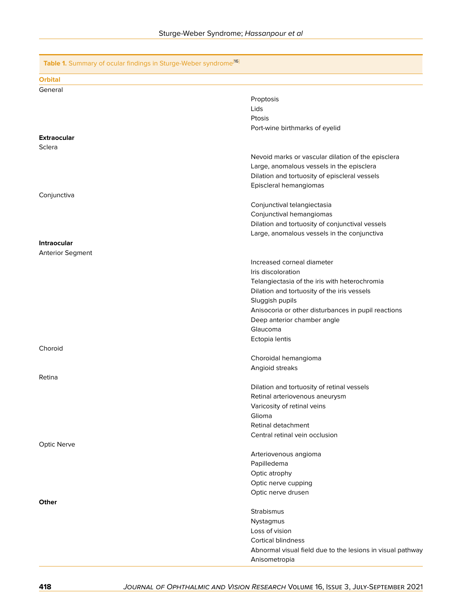| Table 1. Summary of ocular findings in Sturge-Weber syndrome <sup>[16]</sup> |                                                            |
|------------------------------------------------------------------------------|------------------------------------------------------------|
| <b>Orbital</b>                                                               |                                                            |
| General                                                                      |                                                            |
|                                                                              | Proptosis                                                  |
|                                                                              | Lids                                                       |
|                                                                              | Ptosis                                                     |
|                                                                              | Port-wine birthmarks of eyelid                             |
| <b>Extraocular</b>                                                           |                                                            |
| Sclera                                                                       |                                                            |
|                                                                              | Nevoid marks or vascular dilation of the episclera         |
|                                                                              | Large, anomalous vessels in the episclera                  |
|                                                                              | Dilation and tortuosity of episcleral vessels              |
|                                                                              | Episcleral hemangiomas                                     |
| Conjunctiva                                                                  |                                                            |
|                                                                              | Conjunctival telangiectasia                                |
|                                                                              | Conjunctival hemangiomas                                   |
|                                                                              | Dilation and tortuosity of conjunctival vessels            |
|                                                                              | Large, anomalous vessels in the conjunctiva                |
| Intraocular                                                                  |                                                            |
| <b>Anterior Segment</b>                                                      |                                                            |
|                                                                              | Increased corneal diameter                                 |
|                                                                              | Iris discoloration                                         |
|                                                                              | Telangiectasia of the iris with heterochromia              |
|                                                                              | Dilation and tortuosity of the iris vessels                |
|                                                                              | Sluggish pupils                                            |
|                                                                              | Anisocoria or other disturbances in pupil reactions        |
|                                                                              | Deep anterior chamber angle                                |
|                                                                              | Glaucoma                                                   |
|                                                                              | Ectopia lentis                                             |
| Choroid                                                                      |                                                            |
|                                                                              | Choroidal hemangioma                                       |
|                                                                              | Angioid streaks                                            |
| Retina                                                                       |                                                            |
|                                                                              | Dilation and tortuosity of retinal vessels                 |
|                                                                              | Retinal arteriovenous aneurysm                             |
|                                                                              | Varicosity of retinal veins                                |
|                                                                              | Glioma                                                     |
|                                                                              | Retinal detachment                                         |
|                                                                              | Central retinal vein occlusion                             |
| Optic Nerve                                                                  |                                                            |
|                                                                              | Arteriovenous angioma                                      |
|                                                                              | Papilledema                                                |
|                                                                              | Optic atrophy                                              |
|                                                                              | Optic nerve cupping                                        |
|                                                                              | Optic nerve drusen                                         |
| <b>Other</b>                                                                 |                                                            |
|                                                                              | Strabismus                                                 |
|                                                                              | Nystagmus                                                  |
|                                                                              | Loss of vision                                             |
|                                                                              | <b>Cortical blindness</b>                                  |
|                                                                              | Abnormal visual field due to the lesions in visual pathway |
|                                                                              | Anisometropia                                              |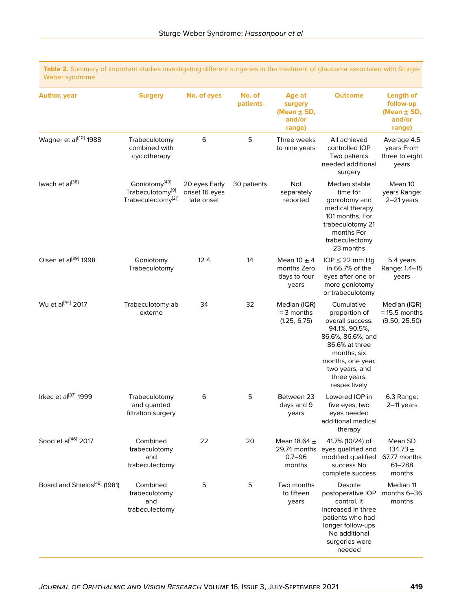**Table 2.** Summary of important studies investigating different surgeries in the treatment of glaucoma associated with Sturge-Weber syndrome

| <b>Author, year</b>                      | <b>Surgery</b>                                                                              | No. of eyes                                  | No. of<br>patients | Age at<br>surgery<br>(Mean $\pm$ SD,<br>and/or<br>range) | <b>Outcome</b>                                                                                                                                                                                | <b>Length of</b><br>follow-up<br>(Mean $\pm$ SD,<br>and/or<br>range) |
|------------------------------------------|---------------------------------------------------------------------------------------------|----------------------------------------------|--------------------|----------------------------------------------------------|-----------------------------------------------------------------------------------------------------------------------------------------------------------------------------------------------|----------------------------------------------------------------------|
| Wagner et al[40] 1988                    | Trabeculotomy<br>combined with<br>cyclotherapy                                              | 6                                            | 5                  | Three weeks<br>to nine years                             | All achieved<br>controlled IOP<br>Two patients<br>needed additional<br>surgery                                                                                                                | Average 4.5<br>years From<br>three to eight<br>years                 |
| Iwach et al[38]                          | Goniotomy <sup>[49]</sup><br>Trabeculotomy <sup>[9]</sup><br>Trabeculectomy <sup>[21]</sup> | 20 eyes Early<br>onset 16 eyes<br>late onset | 30 patients        | <b>Not</b><br>separately<br>reported                     | Median stable<br>time for<br>goniotomy and<br>medical therapy<br>101 months. For<br>trabeculotomy 21<br>months For<br>trabeculectomy<br>23 months                                             | Mean 10<br>years Range:<br>2-21 years                                |
| Olsen et al[39] 1998                     | Goniotomy<br>Trabeculotomy                                                                  | 124                                          | 14                 | Mean 10 $\pm$ 4<br>months Zero<br>days to four<br>years  | IOP $\leq$ 22 mm Hq<br>in $66.7\%$ of the<br>eyes after one or<br>more goniotomy<br>or trabeculotomy                                                                                          | 5.4 years<br>Range: 1.4-15<br>years                                  |
| Wu et al[44] 2017                        | Trabeculotomy ab<br>externo                                                                 | 34                                           | 32                 | Median (IQR)<br>$=$ 3 months<br>(1.25, 6.75)             | Cumulative<br>proportion of<br>overall success:<br>94.1%, 90.5%,<br>86.6%, 86.6%, and<br>86.6% at three<br>months, six<br>months, one year,<br>two years, and<br>three years,<br>respectively | Median (IQR)<br>$= 15.5$ months<br>(9.50, 25.50)                     |
| Irkec et al[37] 1999                     | Trabeculotomy<br>and guarded<br>filtration surgery                                          | 6                                            | 5                  | Between 23<br>days and 9<br>years                        | Lowered IOP in<br>five eyes; two<br>eyes needed<br>additional medical<br>therapy                                                                                                              | 6.3 Range:<br>2-11 years                                             |
| Sood et al[46] 2017                      | Combined<br>trabeculotomy<br>and<br>trabeculectomy                                          | 22                                           | 20                 | Mean 18.64 $\pm$<br>$0.7 - 96$<br>months                 | 41.7% (10/24) of<br>29.74 months eyes qualified and<br>modified qualified<br>success No<br>complete success                                                                                   | Mean SD<br>134.73 $\pm$<br>67.77 months<br>$61 - 288$<br>months      |
| Board and Shields <sup>[48]</sup> (1981) | Combined<br>trabeculotomy<br>and<br>trabeculectomy                                          | 5                                            | 5                  | Two months<br>to fifteen<br>years                        | Despite<br>postoperative IOP<br>control, it<br>increased in three<br>patients who had<br>longer follow-ups<br>No additional<br>surgeries were<br>needed                                       | Median 11<br>months 6-36<br>months                                   |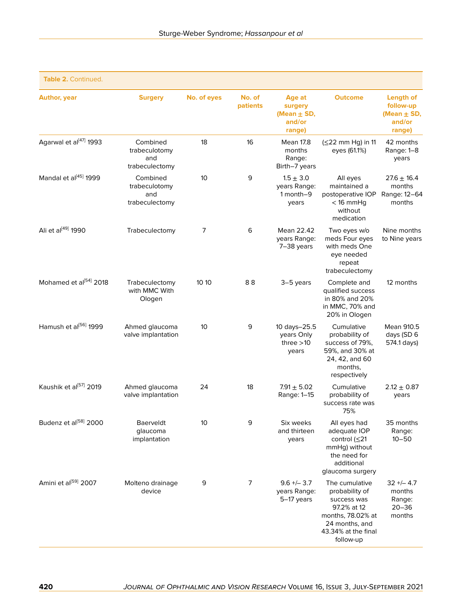| Table 2. Continued.                |                                                    |             |                    |                                                                 |                                                                                                                                           |                                                                      |
|------------------------------------|----------------------------------------------------|-------------|--------------------|-----------------------------------------------------------------|-------------------------------------------------------------------------------------------------------------------------------------------|----------------------------------------------------------------------|
| <b>Author, year</b>                | <b>Surgery</b>                                     | No. of eyes | No. of<br>patients | <b>Age at</b><br>surgery<br>(Mean $\pm$ SD,<br>and/or<br>range) | <b>Outcome</b>                                                                                                                            | <b>Length of</b><br>follow-up<br>(Mean $\pm$ SD,<br>and/or<br>range) |
| Agarwal et al[47] 1993             | Combined<br>trabeculotomy<br>and<br>trabeculectomy | 18          | 16                 | Mean 17.8<br>months<br>Range:<br>Birth-7 years                  | (≤22 mm Hg) in 11<br>eyes (61.1%)                                                                                                         | 42 months<br>Range: 1-8<br>years                                     |
| Mandal et al[45] 1999              | Combined<br>trabeculotomy<br>and<br>trabeculectomy | 10          | 9                  | $1.5 \pm 3.0$<br>years Range:<br>1 month-9<br>years             | All eyes<br>maintained a<br>postoperative IOP<br>$<$ 16 mmHq<br>without<br>medication                                                     | $27.6 \pm 16.4$<br>months<br>Range: 12-64<br>months                  |
| Ali et al[49] 1990                 | Trabeculectomy                                     | 7           | 6                  | Mean 22.42<br>years Range:<br>7-38 years                        | Two eyes w/o<br>meds Four eyes<br>with meds One<br>eye needed<br>repeat<br>trabeculectomy                                                 | Nine months<br>to Nine years                                         |
| Mohamed et al <sup>[54]</sup> 2018 | Trabeculectomy<br>with MMC With<br>Ologen          | 10 10       | 88                 | $3-5$ years                                                     | Complete and<br>qualified success<br>in 80% and 20%<br>in MMC, 70% and<br>20% in Ologen                                                   | 12 months                                                            |
| Hamush et al <sup>[56]</sup> 1999  | Ahmed glaucoma<br>valve implantation               | 10          | 9                  | 10 days-25.5<br>years Only<br>three $>10$<br>years              | Cumulative<br>probability of<br>success of 79%,<br>59%, and 30% at<br>24, 42, and 60<br>months,<br>respectively                           | Mean 910.5<br>days (SD 6<br>574.1 days)                              |
| Kaushik et al[57] 2019             | Ahmed glaucoma<br>valve implantation               | 24          | 18                 | $7.91 \pm 5.02$<br>Range: 1-15                                  | Cumulative<br>probability of<br>success rate was<br>75%                                                                                   | $2.12 \pm 0.87$<br>years                                             |
| Budenz et al <sup>[58]</sup> 2000  | Baerveldt<br>glaucoma<br>implantation              | 10          | 9                  | Six weeks<br>and thirteen<br>years                              | All eyes had<br>adequate IOP<br>control (≤21<br>mmHg) without<br>the need for<br>additional<br>glaucoma surgery                           | 35 months<br>Range:<br>$10 - 50$                                     |
| Amini et al <sup>[59]</sup> 2007   | Molteno drainage<br>device                         | 9           | $\overline{7}$     | $9.6 + - 3.7$<br>years Range:<br>5-17 years                     | The cumulative<br>probability of<br>success was<br>97.2% at 12<br>months, 78.02% at<br>24 months, and<br>43.34% at the final<br>follow-up | $32 + 4.7$<br>months<br>Range:<br>$20 - 36$<br>months                |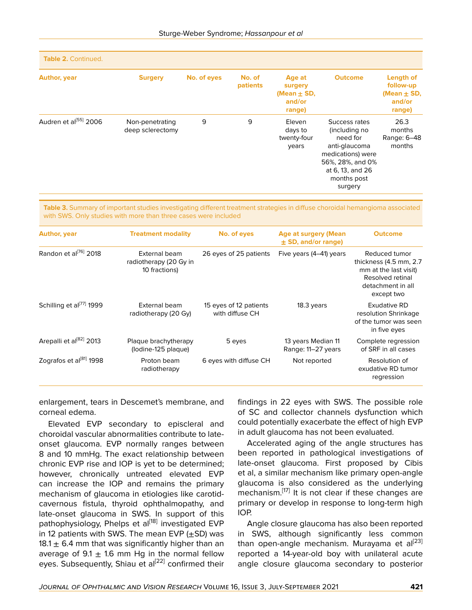| Table 2. Continued.               |                                     |             |                    |                                                          |                                                                                                                                                    |                                                               |
|-----------------------------------|-------------------------------------|-------------|--------------------|----------------------------------------------------------|----------------------------------------------------------------------------------------------------------------------------------------------------|---------------------------------------------------------------|
| <b>Author, year</b>               | <b>Surgery</b>                      | No. of eyes | No. of<br>patients | Age at<br>surgery<br>(Mean $\pm$ SD,<br>and/or<br>range) | <b>Outcome</b>                                                                                                                                     | Length of<br>follow-up<br>(Mean $\pm$ SD,<br>and/or<br>range) |
| Audren et al <sup>[55]</sup> 2006 | Non-penetrating<br>deep sclerectomy | 9           | 9                  | Eleven<br>days to<br>twenty-four<br>years                | Success rates<br>(including no<br>need for<br>anti-glaucoma<br>medications) were<br>56%, 28%, and 0%<br>at 6, 13, and 26<br>months post<br>surgery | 26.3<br>months<br>Range: 6-48<br>months                       |

**Table 3.** Summary of important studies investigating different treatment strategies in diffuse choroidal hemangioma associated with SWS. Only studies with more than three cases were included

| <b>Author, year</b>                  | <b>Treatment modality</b>                                | No. of eyes                               | Age at surgery (Mean<br>$\pm$ SD, and/or range) | <b>Outcome</b>                                                                                                          |
|--------------------------------------|----------------------------------------------------------|-------------------------------------------|-------------------------------------------------|-------------------------------------------------------------------------------------------------------------------------|
| Randon et al <sup>[76]</sup> 2018    | External beam<br>radiotherapy (20 Gy in<br>10 fractions) | 26 eyes of 25 patients                    | Five years (4–41) years                         | Reduced tumor<br>thickness (4.5 mm, 2.7<br>mm at the last visit)<br>Resolved retinal<br>detachment in all<br>except two |
| Schilling et al <sup>[77]</sup> 1999 | External beam<br>radiotherapy (20 Gy)                    | 15 eyes of 12 patients<br>with diffuse CH | 18.3 years                                      | <b>Exudative RD</b><br>resolution Shrinkage<br>of the tumor was seen<br>in five eyes                                    |
| Arepalli et al <sup>[82]</sup> 2013  | Plaque brachytherapy<br>(lodine-125 plaque)              | 5 eyes                                    | 13 years Median 11<br>Range: 11-27 years        | Complete regression<br>of SRF in all cases                                                                              |
| Zografos et al <sup>[81]</sup> 1998  | Proton beam<br>radiotherapy                              | 6 eyes with diffuse CH                    | Not reported                                    | Resolution of<br>exudative RD tumor<br>regression                                                                       |

enlargement, tears in Descemet's membrane, and corneal edema.

Elevated EVP secondary to episcleral and choroidal vascular abnormalities contribute to lateonset glaucoma. EVP normally ranges between 8 and 10 mmHg. The exact relationship between chronic EVP rise and IOP is yet to be determined; however, chronically untreated elevated EVP can increase the IOP and remains the primary mechanism of glaucoma in etiologies like carotidcavernous fistula, thyroid ophthalmopathy, and late-onset glaucoma in SWS. In support of this pathophysiology, Phelps et al<sup>[\[18](#page-13-16)]</sup> investigated EVP in 12 patients with SWS. The mean EVP  $(\pm SD)$  was 18.1  $\pm$  6.4 mm that was significantly higher than an average of  $9.1 \pm 1.6$  mm Hg in the normal fellow eyes. Subsequently, Shiau et al<sup>[[22\]](#page-13-20)</sup> confirmed their

findings in 22 eyes with SWS. The possible role of SC and collector channels dysfunction which could potentially exacerbate the effect of high EVP in adult glaucoma has not been evaluated.

Accelerated aging of the angle structures has been reported in pathological investigations of late-onset glaucoma. First proposed by Cibis et al, a similar mechanism like primary open-angle glaucoma is also considered as the underlying mechanism.<sup>[[17](#page-13-15)]</sup> It is not clear if these changes are primary or develop in response to long-term high IOP.

Angle closure glaucoma has also been reported in SWS, although significantly less common than open-angle mechanism. Murayama et al<sup>[[23](#page-13-21)]</sup> reported a 14-year-old boy with unilateral acute angle closure glaucoma secondary to posterior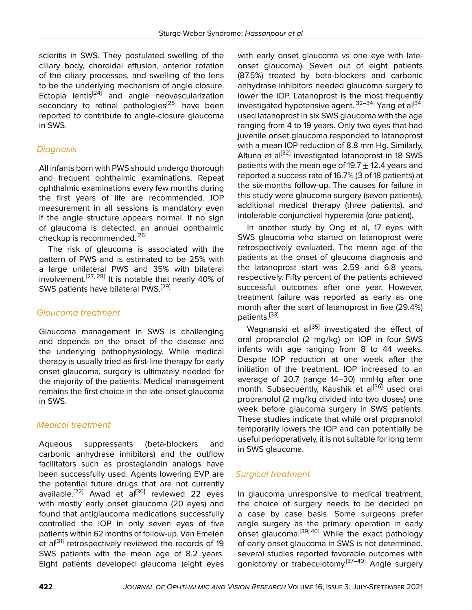scleritis in SWS. They postulated swelling of the ciliary body, choroidal effusion, anterior rotation of the ciliary processes, and swelling of the lens to be the underlying mechanism of angle closure. Ectopia lentis<sup>[\[24](#page-13-22)]</sup> and angle neovascularization secondary to retinal pathologies<sup>[[25\]](#page-13-23)</sup> have been reported to contribute to angle-closure glaucoma in SWS.

# *Diagnosis*

All infants born with PWS should undergo thorough and frequent ophthalmic examinations. Repeat ophthalmic examinations every few months during the first years of life are recommended. IOP measurement in all sessions is mandatory even if the angle structure appears normal. If no sign of glaucoma is detected, an annual ophthalmic checkup is recommended.<sup>[\[26](#page-13-24)]</sup>

The risk of glaucoma is associated with the pattern of PWS and is estimated to be 25% with a large unilateral PWS and 35% with bilateral involvement.<sup>[\[27,](#page-13-25) [28](#page-13-26)]</sup> It is notable that nearly 40% of SWS patients have bilateral PWS.<sup>[\[29](#page-13-27)]</sup>

# *Glaucoma treatment*

Glaucoma management in SWS is challenging and depends on the onset of the disease and the underlying pathophysiology. While medical therapy is usually tried as first-line therapy for early onset glaucoma, surgery is ultimately needed for the majority of the patients. Medical management remains the first choice in the late-onset glaucoma in SWS.

# *Medical treatment*

Aqueous suppressants (beta-blockers and carbonic anhydrase inhibitors) and the outflow facilitators such as prostaglandin analogs have been successfully used. Agents lowering EVP are the potential future drugs that are not currently available.<sup>[\[22](#page-13-20)]</sup> Awad et al<sup>[[30](#page-13-28)]</sup> reviewed 22 eyes with mostly early onset glaucoma (20 eyes) and found that antiglaucoma medications successfully controlled the IOP in only seven eyes of five patients within 62 months of follow-up. Van Emelen et al<sup>[[31\]](#page-13-29)</sup> retrospectively reviewed the records of 19 SWS patients with the mean age of 8.2 years. Eight patients developed glaucoma (eight eyes

with early onset glaucoma vs one eye with lateonset glaucoma). Seven out of eight patients (87.5%) treated by beta-blockers and carbonic anhydrase inhibitors needed glaucoma surgery to lower the IOP. Latanoprost is the most frequently investigated hypotensive agent.<sup>[\[32](#page-13-30)[–34\]](#page-13-31)</sup> Yang et al<sup>[[34](#page-13-31)]</sup> used latanoprost in six SWS glaucoma with the age ranging from 4 to 19 years. Only two eyes that had juvenile onset glaucoma responded to latanoprost with a mean IOP reduction of 8.8 mm Hg. Similarly, Altuna et al<sup>[\[32](#page-13-30)]</sup> investigated latanoprost in 18 SWS patients with the mean age of  $19.7 \pm 12.4$  years and reported a success rate of 16.7% (3 of 18 patients) at the six-months follow-up. The causes for failure in this study were glaucoma surgery (seven patients), additional medical therapy (three patients), and intolerable conjunctival hyperemia (one patient).

In another study by Ong et al, 17 eyes with SWS glaucoma who started on latanoprost were retrospectively evaluated. The mean age of the patients at the onset of glaucoma diagnosis and the latanoprost start was 2.59 and 6.8 years, respectively. Fifty percent of the patients achieved successful outcomes after one year. However, treatment failure was reported as early as one month after the start of latanoprost in five (29.4%) patients.[\[33\]](#page-13-32)

Wagnanski et al<sup>[\[35](#page-13-33)]</sup> investigated the effect of oral propranolol (2 mg/kg) on IOP in four SWS infants with age ranging from 8 to 44 weeks. Despite IOP reduction at one week after the initiation of the treatment, IOP increased to an average of 20.7 (range 14–30) mmHg after one month. Subsequently, Kaushik et al<sup>[[36\]](#page-14-16)</sup> used oral propranolol (2 mg/kg divided into two doses) one week before glaucoma surgery in SWS patients. These studies indicate that while oral propranolol temporarily lowers the IOP and can potentially be useful perioperatively, it is not suitable for long term in SWS glaucoma.

# *Surgical treatment*

In glaucoma unresponsive to medical treatment, the choice of surgery needs to be decided on a case by case basis. Some surgeons prefer angle surgery as the primary operation in early onset glaucoma.<sup>[[39,](#page-14-3) [40](#page-14-0)]</sup> While the exact pathology of early onset glaucoma in SWS is not determined, several studies reported favorable outcomes with goniotomy or trabeculotomy.<sup>[[37](#page-14-5)-[40\]](#page-14-0)</sup> Angle surgery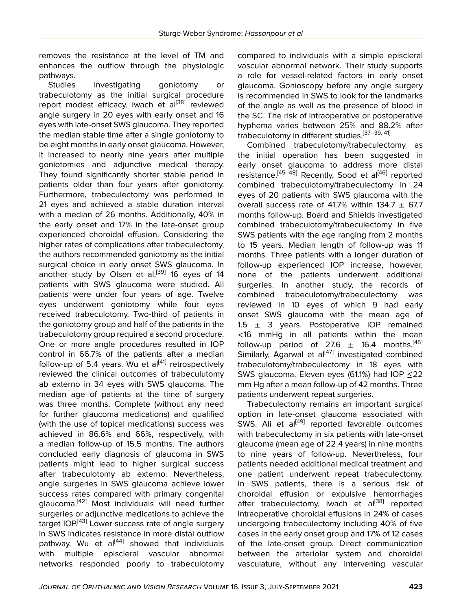removes the resistance at the level of TM and enhances the outflow through the physiologic pathways.

Studies investigating goniotomy or trabeculotomy as the initial surgical procedure report modest efficacy. Iwach et al<sup>[[38\]](#page-14-1)</sup> reviewed angle surgery in 20 eyes with early onset and 16 eyes with late-onset SWS glaucoma. They reported the median stable time after a single goniotomy to be eight months in early onset glaucoma. However, it increased to nearly nine years after multiple goniotomies and adjunctive medical therapy. They found significantly shorter stable period in patients older than four years after goniotomy. Furthermore, trabeculectomy was performed in 21 eyes and achieved a stable duration interval with a median of 26 months. Additionally, 40% in the early onset and 17% in the late-onset group experienced choroidal effusion. Considering the higher rates of complications after trabeculectomy, the authors recommended goniotomy as the initial surgical choice in early onset SWS glaucoma. In another study by Olsen et al,<sup>[\[39](#page-14-3)]</sup> 16 eyes of 14 patients with SWS glaucoma were studied. All patients were under four years of age. Twelve eyes underwent goniotomy while four eyes received trabeculotomy. Two-third of patients in the goniotomy group and half of the patients in the trabeculotomy group required a second procedure. One or more angle procedures resulted in IOP control in 66.7% of the patients after a median follow-up of 5.4 years. Wu et al<sup>[\[41\]](#page-14-17)</sup> retrospectively reviewed the clinical outcomes of trabeculutomy ab externo in 34 eyes with SWS glaucoma. The median age of patients at the time of surgery was three months. Complete (without any need for further glaucoma medications) and qualified (with the use of topical medications) success was achieved in 86.6% and 66%, respectively, with a median follow-up of 15.5 months. The authors concluded early diagnosis of glaucoma in SWS patients might lead to higher surgical success after trabeculotomy ab externo. Nevertheless, angle surgeries in SWS glaucoma achieve lower success rates compared with primary congenital glaucoma.[[42\]](#page-14-18) Most individuals will need further surgeries or adjunctive medications to achieve the target IOP.<sup>[\[43\]](#page-14-19)</sup> Lower success rate of angle surgery in SWS indicates resistance in more distal outflow pathway. Wu et al<sup>[\[44\]](#page-14-4)</sup> showed that individuals with multiple episcleral vascular abnormal networks responded poorly to trabeculotomy

compared to individuals with a simple episcleral vascular abnormal network. Their study supports a role for vessel-related factors in early onset glaucoma. Gonioscopy before any angle surgery is recommended in SWS to look for the landmarks of the angle as well as the presence of blood in the SC. The risk of intraoperative or postoperative hyphema varies between 25% and 88.2% after trabeculotomy in different studies.<sup>[37-[39](#page-14-3), [41\]](#page-14-17)</sup>

Combined trabeculotomy/trabeculectomy as the initial operation has been suggested in early onset glaucoma to address more distal resistance.<sup>[[45](#page-14-9)–[48\]](#page-14-7)</sup> Recently, Sood et al<sup>[[46](#page-14-6)]</sup> reported combined trabeculotomy/trabeculectomy in 24 eyes of 20 patients with SWS glaucoma with the overall success rate of 41.7% within 134.7  $\pm$  67.7 months follow-up. Board and Shields investigated combined trabeculotomy/trabeculectomy in five SWS patients with the age ranging from 2 months to 15 years. Median length of follow-up was 11 months. Three patients with a longer duration of follow-up experienced IOP increase, however, none of the patients underwent additional surgeries. In another study, the records of combined trabeculotomy/trabeculectomy was reviewed in 10 eyes of which 9 had early onset SWS glaucoma with the mean age of 1.5  $\pm$  3 years. Postoperative IOP remained <16 mmHg in all patients within the mean follow-up period of 27.6  $\pm$  16.4 months.<sup>[[45](#page-14-9)]</sup> Similarly, Agarwal et al<sup>[[47](#page-14-8)]</sup> investigated combined trabeculotomy/trabeculectomy in 18 eyes with SWS glaucoma. Eleven eyes (61.1%) had IOP ≤22 mm Hg after a mean follow-up of 42 months. Three patients underwent repeat surgeries.

Trabeculectomy remains an important surgical option in late-onset glaucoma associated with SWS. Ali et al<sup>[\[49\]](#page-14-2)</sup> reported favorable outcomes with trabeculectomy in six patients with late-onset glaucoma (mean age of 22.4 years) in nine months to nine years of follow-up. Nevertheless, four patients needed additional medical treatment and one patient underwent repeat trabeculectomy. In SWS patients, there is a serious risk of choroidal effusion or expulsive hemorrhages after trabeculectomy. Iwach et al<sup>[[38](#page-14-1)]</sup> reported intraoperative choroidal effusions in 24% of cases undergoing trabeculectomy including 40% of five cases in the early onset group and 17% of 12 cases of the late-onset group. Direct communication between the arteriolar system and choroidal vasculature, without any intervening vascular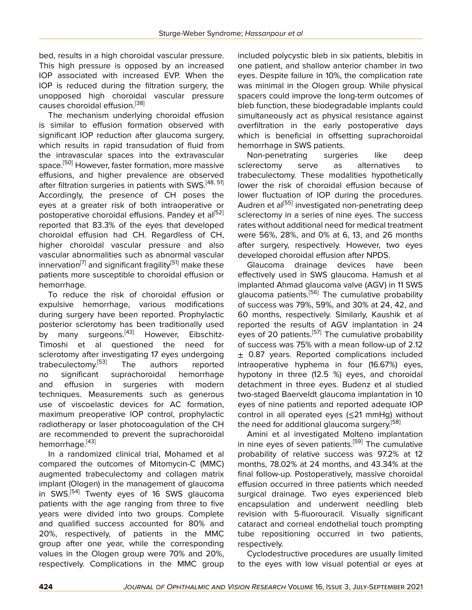bed, results in a high choroidal vascular pressure. This high pressure is opposed by an increased IOP associated with increased EVP. When the IOP is reduced during the filtration surgery, the unopposed high choroidal vascular pressure causes choroidal effusion.[[38\]](#page-14-1)

The mechanism underlying choroidal effusion is similar to effusion formation observed with significant IOP reduction after glaucoma surgery, which results in rapid transudation of fluid from the intravascular spaces into the extravascular space.<sup>[\[50\]](#page-14-20)</sup> However, faster formation, more massive effusions, and higher prevalence are observed after filtration surgeries in patients with SWS.<sup>[[48](#page-14-7), [51](#page-14-21)]</sup> Accordingly, the presence of CH poses the eyes at a greater risk of both intraoperative or postoperative choroidal effusions. Pandey et al<sup>[\[52](#page-14-22)]</sup> reported that 83.3% of the eyes that developed choroidal effusion had CH. Regardless of CH, higher choroidal vascular pressure and also vascular abnormalities such as abnormal vascular innervation<sup>[[7\]](#page-13-6)</sup> and significant fragility<sup>[\[51](#page-14-21)]</sup> make these patients more susceptible to choroidal effusion or hemorrhage.

To reduce the risk of choroidal effusion or expulsive hemorrhage, various modifications during surgery have been reported. Prophylactic posterior sclerotomy has been traditionally used by many surgeons.<sup>[\[43](#page-14-19)]</sup> However, Eibschitz-Timoshi et al questioned the need for sclerotomy after investigating 17 eyes undergoing trabeculectomy.<sup>[[53\]](#page-14-23)</sup> The authors reported no significant suprachoroidal hemorrhage and effusion in surgeries with modern techniques. Measurements such as generous use of viscoelastic devices for AC formation, maximum preoperative IOP control, prophylactic radiotherapy or laser photocoagulation of the CH are recommended to prevent the suprachoroidal hemorrhage.<sup>[[43](#page-14-19)]</sup>

In a randomized clinical trial, Mohamed et al compared the outcomes of Mitomycin-C (MMC) augmented trabeculectomy and collagen matrix implant (Ologen) in the management of glaucoma in SWS.<sup>[[54](#page-14-10)]</sup> Twenty eyes of 16 SWS glaucoma patients with the age ranging from three to five years were divided into two groups. Complete and qualified success accounted for 80% and 20%, respectively, of patients in the MMC group after one year, while the corresponding values in the Ologen group were 70% and 20%, respectively. Complications in the MMC group

included polycystic bleb in six patients, blebitis in one patient, and shallow anterior chamber in two eyes. Despite failure in 10%, the complication rate was minimal in the Ologen group. While physical spacers could improve the long-term outcomes of bleb function, these biodegradable implants could simultaneously act as physical resistance against overfiltration in the early postoperative days which is beneficial in offsetting suprachoroidal hemorrhage in SWS patients.

Non-penetrating surgeries like deep sclerectomy serve as alternatives to trabeculectomy. These modalities hypothetically lower the risk of choroidal effusion because of lower fluctuation of IOP during the procedures. Audren et al<sup>[[55](#page-14-15)]</sup> investigated non-penetrating deep sclerectomy in a series of nine eyes. The success rates without additional need for medical treatment were 56%, 28%, and 0% at 6, 13, and 26 months after surgery, respectively. However, two eyes developed choroidal effusion after NPDS.

Glaucoma drainage devices have been effectively used in SWS glaucoma. Hamush et al implanted Ahmad glaucoma valve (AGV) in 11 SWS glaucoma patients.<sup>[[56\]](#page-14-11)</sup> The cumulative probability of success was 79%, 59%, and 30% at 24, 42, and 60 months, respectively. Similarly, Kaushik et al reported the results of AGV implantation in 24 eyes of 20 patients.<sup>[[57](#page-14-12)]</sup> The cumulative probability of success was 75% with a mean follow-up of 2.12  $\pm$  0.87 years. Reported complications included intraoperative hyphema in four (16.67%) eyes, hypotony in three (12.5 %) eyes, and choroidal detachment in three eyes. Budenz et al studied two-staged Baerveldt glaucoma implantation in 10 eyes of nine patients and reported adequate IOP control in all operated eyes (≤21 mmHg) without the need for additional glaucoma surgery.<sup>[[58\]](#page-14-13)</sup>

Amini et al investigated Molteno implantation in nine eyes of seven patients.<sup>[[59\]](#page-14-14)</sup> The cumulative probability of relative success was 97.2% at 12 months, 78.02% at 24 months, and 43.34% at the final follow-up. Postoperatively, massive choroidal effusion occurred in three patients which needed surgical drainage. Two eyes experienced bleb encapsulation and underwent needling bleb revision with 5-fluorouracil. Visually significant cataract and corneal endothelial touch prompting tube repositioning occurred in two patients, respectively.

Cyclodestructive procedures are usually limited to the eyes with low visual potential or eyes at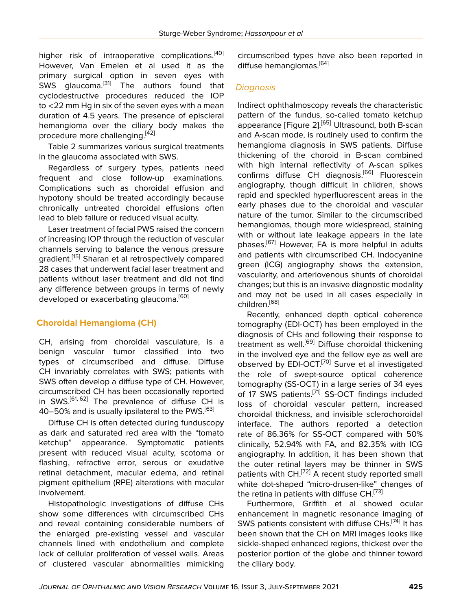higher risk of intraoperative complications.<sup>[\[40](#page-14-0)]</sup> However, Van Emelen et al used it as the primary surgical option in seven eyes with SWS glaucoma.[\[31](#page-13-29)] The authors found that cyclodestructive procedures reduced the IOP to <22 mm Hg in six of the seven eyes with a mean duration of 4.5 years. The presence of episcleral hemangioma over the ciliary body makes the procedure more challenging.<sup>[\[42](#page-14-18)]</sup>

Table 2 summarizes various surgical treatments in the glaucoma associated with SWS.

Regardless of surgery types, patients need frequent and close follow-up examinations. Complications such as choroidal effusion and hypotony should be treated accordingly because chronically untreated choroidal effusions often lead to bleb failure or reduced visual acuity.

Laser treatment of facial PWS raised the concern of increasing IOP through the reduction of vascular channels serving to balance the venous pressure gradient.<sup>[[15](#page-13-13)]</sup> Sharan et al retrospectively compared 28 cases that underwent facial laser treatment and patients without laser treatment and did not find any difference between groups in terms of newly developed or exacerbating glaucoma.<sup>[[60\]](#page-14-24)</sup>

# **Choroidal Hemangioma (CH)**

CH, arising from choroidal vasculature, is a benign vascular tumor classified into two types of circumscribed and diffuse. Diffuse CH invariably correlates with SWS; patients with SWS often develop a diffuse type of CH. However, circumscribed CH has been occasionally reported in SWS.<sup>[[61,](#page-14-25) [62](#page-14-26)]</sup> The prevalence of diffuse CH is 40–50% and is usually ipsilateral to the PWS.<sup>[\[63](#page-14-27)]</sup>

Diffuse CH is often detected during funduscopy as dark and saturated red area with the "tomato ketchup" appearance. Symptomatic patients present with reduced visual acuity, scotoma or flashing, refractive error, serous or exudative retinal detachment, macular edema, and retinal pigment epithelium (RPE) alterations with macular involvement.

Histopathologic investigations of diffuse CHs show some differences with circumscribed CHs and reveal containing considerable numbers of the enlarged pre-existing vessel and vascular channels lined with endothelium and complete lack of cellular proliferation of vessel walls. Areas of clustered vascular abnormalities mimicking

circumscribed types have also been reported in diffuse hemangiomas.<sup>[[64\]](#page-14-28)</sup>

## *Diagnosis*

Indirect ophthalmoscopy reveals the characteristic pattern of the fundus, so-called tomato ketchup appearance [Figure 2].<sup>[\[65\]](#page-14-29)</sup> Ultrasound, both B-scan and A-scan mode, is routinely used to confirm the hemangioma diagnosis in SWS patients. Diffuse thickening of the choroid in B-scan combined with high internal reflectivity of A-scan spikes confirms diffuse CH diagnosis.[\[66](#page-14-30)] Fluorescein angiography, though difficult in children, shows rapid and speckled hyperfluorescent areas in the early phases due to the choroidal and vascular nature of the tumor. Similar to the circumscribed hemangiomas, though more widespread, staining with or without late leakage appears in the late phases.<sup>[\[67\]](#page-14-31)</sup> However, FA is more helpful in adults and patients with circumscribed CH. Indocyanine green (ICG) angiography shows the extension, vascularity, and arteriovenous shunts of choroidal changes; but this is an invasive diagnostic modality and may not be used in all cases especially in children.<sup>[\[68](#page-15-4)]</sup>

Recently, enhanced depth optical coherence tomography (EDI-OCT) has been employed in the diagnosis of CHs and following their response to treatment as well.<sup>[\[69](#page-15-5)]</sup> Diffuse choroidal thickening in the involved eye and the fellow eye as well are observed by EDI-OCT.<sup>[[70](#page-15-6)]</sup> Surve et al investigated the role of swept-source optical coherence tomography (SS-OCT) in a large series of 34 eyes of 17 SWS patients.<sup>[\[71\]](#page-15-7)</sup> SS-OCT findings included loss of choroidal vascular pattern, increased choroidal thickness, and invisible sclerochoroidal interface. The authors reported a detection rate of 86.36% for SS-OCT compared with 50% clinically, 52.94% with FA, and 82.35% with ICG angiography. In addition, it has been shown that the outer retinal layers may be thinner in SWS patients with CH.<sup>[\[72\]](#page-15-8)</sup> A recent study reported small white dot-shaped "micro-drusen-like" changes of the retina in patients with diffuse CH.<sup>[\[73\]](#page-15-9)</sup>

Furthermore, Griffith et al showed ocular enhancement in magnetic resonance imaging of SWS patients consistent with diffuse CHs.<sup>[[74](#page-15-10)]</sup> It has been shown that the CH on MRI images looks like sickle-shaped enhanced regions, thickest over the posterior portion of the globe and thinner toward the ciliary body.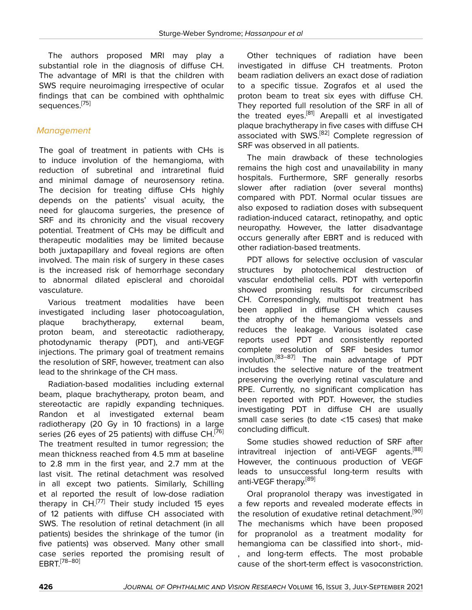The authors proposed MRI may play a substantial role in the diagnosis of diffuse CH. The advantage of MRI is that the children with SWS require neuroimaging irrespective of ocular findings that can be combined with ophthalmic sequences.[\[75\]](#page-15-11)

# *Management*

The goal of treatment in patients with CHs is to induce involution of the hemangioma, with reduction of subretinal and intraretinal fluid and minimal damage of neurosensory retina. The decision for treating diffuse CHs highly depends on the patients' visual acuity, the need for glaucoma surgeries, the presence of SRF and its chronicity and the visual recovery potential. Treatment of CHs may be difficult and therapeutic modalities may be limited because both juxtapapillary and foveal regions are often involved. The main risk of surgery in these cases is the increased risk of hemorrhage secondary to abnormal dilated episcleral and choroidal vasculature.

Various treatment modalities have been investigated including laser photocoagulation, plaque brachytherapy, external beam, proton beam, and stereotactic radiotherapy, photodynamic therapy (PDT), and anti-VEGF injections. The primary goal of treatment remains the resolution of SRF, however, treatment can also lead to the shrinkage of the CH mass.

Radiation-based modalities including external beam, plaque brachytherapy, proton beam, and stereotactic are rapidly expanding techniques. Randon et al investigated external beam radiotherapy (20 Gy in 10 fractions) in a large series (26 eyes of 25 patients) with diffuse CH.<sup>[[76](#page-15-0)]</sup> The treatment resulted in tumor regression; the mean thickness reached from 4.5 mm at baseline to 2.8 mm in the first year, and 2.7 mm at the last visit. The retinal detachment was resolved in all except two patients. Similarly, Schilling et al reported the result of low-dose radiation therapy in  $CH<sub>1</sub>[77]$  $CH<sub>1</sub>[77]$  $CH<sub>1</sub>[77]$  Their study included 15 eyes of 12 patients with diffuse CH associated with SWS. The resolution of retinal detachment (in all patients) besides the shrinkage of the tumor (in five patients) was observed. Many other small case series reported the promising result of EBRT.[[78](#page-15-12)–[80](#page-15-13)]

Other techniques of radiation have been investigated in diffuse CH treatments. Proton beam radiation delivers an exact dose of radiation to a specific tissue. Zografos et al used the proton beam to treat six eyes with diffuse CH. They reported full resolution of the SRF in all of the treated eyes.[\[81](#page-15-3)] Arepalli et al investigated plaque brachytherapy in five cases with diffuse CH associated with SWS.<sup>[\[82](#page-15-2)]</sup> Complete regression of SRF was observed in all patients.

The main drawback of these technologies remains the high cost and unavailability in many hospitals. Furthermore, SRF generally resorbs slower after radiation (over several months) compared with PDT. Normal ocular tissues are also exposed to radiation doses with subsequent radiation-induced cataract, retinopathy, and optic neuropathy. However, the latter disadvantage occurs generally after EBRT and is reduced with other radiation-based treatments.

PDT allows for selective occlusion of vascular structures by photochemical destruction of vascular endothelial cells. PDT with verteporfin showed promising results for circumscribed CH. Correspondingly, multispot treatment has been applied in diffuse CH which causes the atrophy of the hemangioma vessels and reduces the leakage. Various isolated case reports used PDT and consistently reported complete resolution of SRF besides tumor involution.[\[83](#page-15-14)–[87](#page-15-15)] The main advantage of PDT includes the selective nature of the treatment preserving the overlying retinal vasculature and RPE. Currently, no significant complication has been reported with PDT. However, the studies investigating PDT in diffuse CH are usually small case series (to date <15 cases) that make concluding difficult.

Some studies showed reduction of SRF after intravitreal injection of anti-VEGF agents.<sup>[\[88](#page-15-16)]</sup> However, the continuous production of VEGF leads to unsuccessful long-term results with anti-VEGF therapy.<sup>[\[89](#page-15-17)]</sup>

Oral propranolol therapy was investigated in a few reports and revealed moderate effects in the resolution of exudative retinal detachment.<sup>[\[90](#page-15-18)]</sup> The mechanisms which have been proposed for propranolol as a treatment modality for hemangioma can be classified into short-, mid- , and long-term effects. The most probable cause of the short-term effect is vasoconstriction.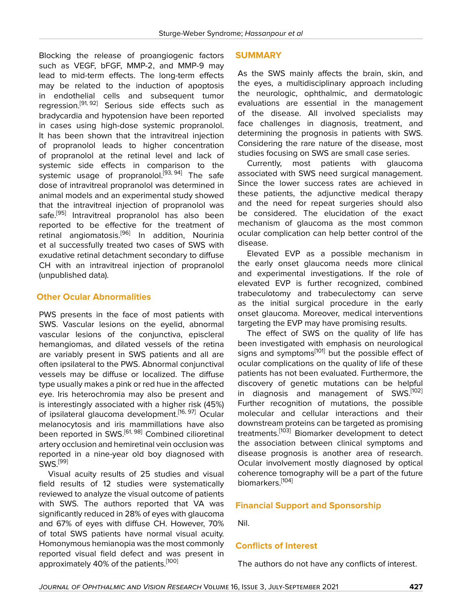Blocking the release of proangiogenic factors such as VEGF, bFGF, MMP-2, and MMP-9 may lead to mid-term effects. The long-term effects may be related to the induction of apoptosis in endothelial cells and subsequent tumor regression.<sup>[\[91](#page-15-19), [92](#page-15-20)]</sup> Serious side effects such as bradycardia and hypotension have been reported in cases using high-dose systemic propranolol. It has been shown that the intravitreal injection of propranolol leads to higher concentration of propranolol at the retinal level and lack of systemic side effects in comparison to the systemic usage of propranolol.<sup>[\[93,](#page-15-21) [94](#page-15-22)]</sup> The safe dose of intravitreal propranolol was determined in animal models and an experimental study showed that the intravitreal injection of propranolol was safe.<sup>[[95\]](#page-15-23)</sup> Intravitreal propranolol has also been reported to be effective for the treatment of retinal angiomatosis.<sup>[\[96](#page-15-24)]</sup> In addition, Nourinia et al successfully treated two cases of SWS with exudative retinal detachment secondary to diffuse CH with an intravitreal injection of propranolol (unpublished data).

## **Other Ocular Abnormalities**

PWS presents in the face of most patients with SWS. Vascular lesions on the eyelid, abnormal vascular lesions of the conjunctiva, episcleral hemangiomas, and dilated vessels of the retina are variably present in SWS patients and all are often ipsilateral to the PWS. Abnormal conjunctival vessels may be diffuse or localized. The diffuse type usually makes a pink or red hue in the affected eye. Iris heterochromia may also be present and is interestingly associated with a higher risk (45%) of ipsilateral glaucoma development.<sup>[[16](#page-13-14), [97](#page-15-25)]</sup> Ocular melanocytosis and iris mammillations have also been reported in SWS.<sup>[[61,](#page-14-25) [98\]](#page-15-26)</sup> Combined cilioretinal artery occlusion and hemiretinal vein occlusion was reported in a nine-year old boy diagnosed with SWS.[\[99](#page-16-0)]

Visual acuity results of 25 studies and visual field results of 12 studies were systematically reviewed to analyze the visual outcome of patients with SWS. The authors reported that VA was significantly reduced in 28% of eyes with glaucoma and 67% of eyes with diffuse CH. However, 70% of total SWS patients have normal visual acuity. Homonymous hemianopia was the most commonly reported visual field defect and was present in approximately 40% of the patients.[\[100](#page-16-1)]

#### **SUMMARY**

As the SWS mainly affects the brain, skin, and the eyes, a multidisciplinary approach including the neurologic, ophthalmic, and dermatologic evaluations are essential in the management of the disease. All involved specialists may face challenges in diagnosis, treatment, and determining the prognosis in patients with SWS. Considering the rare nature of the disease, most studies focusing on SWS are small case series.

Currently, most patients with glaucoma associated with SWS need surgical management. Since the lower success rates are achieved in these patients, the adjunctive medical therapy and the need for repeat surgeries should also be considered. The elucidation of the exact mechanism of glaucoma as the most common ocular complication can help better control of the disease.

Elevated EVP as a possible mechanism in the early onset glaucoma needs more clinical and experimental investigations. If the role of elevated EVP is further recognized, combined trabeculotomy and trabeculectomy can serve as the initial surgical procedure in the early onset glaucoma. Moreover, medical interventions targeting the EVP may have promising results.

The effect of SWS on the quality of life has been investigated with emphasis on neurological signs and symptoms<sup>[\[101\]](#page-16-2)</sup> but the possible effect of ocular complications on the quality of life of these patients has not been evaluated. Furthermore, the discovery of genetic mutations can be helpful in diagnosis and management of SWS.<sup>[[102](#page-16-3)]</sup> Further recognition of mutations, the possible molecular and cellular interactions and their downstream proteins can be targeted as promising treatments.<sup>[[103\]](#page-16-4)</sup> Biomarker development to detect the association between clinical symptoms and disease prognosis is another area of research. Ocular involvement mostly diagnosed by optical coherence tomography will be a part of the future biomarkers.[[104](#page-16-5)]

# **Financial Support and Sponsorship**

Nil.

#### **Conflicts of Interest**

The authors do not have any conflicts of interest.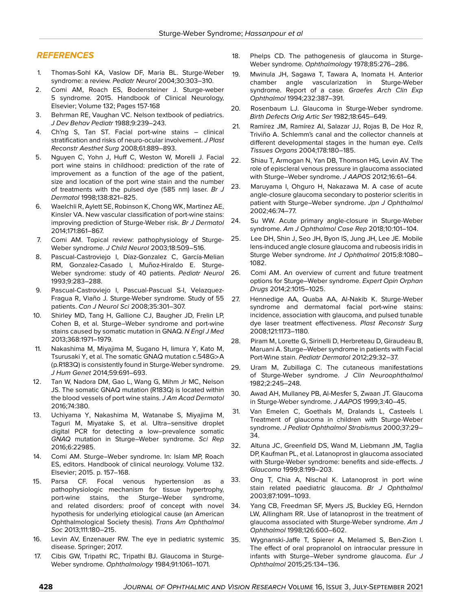#### *REFERENCES*

- <span id="page-13-0"></span>1. Thomas-Sohl KA, Vaslow DF, Maria BL. Sturge-Weber syndrome: a review. *Pediatr Neurol* 2004;30:303–310.
- <span id="page-13-1"></span>2. Comi AM, Roach ES, Bodensteiner J. Sturge-weber 5 syndrome. 2015. Handbook of Clinical Neurology, Elsevier; Volume 132; Pages 157-168
- <span id="page-13-2"></span>3. Behrman RE, Vaughan VC. Nelson textbook of pediatrics. *J Dev Behav Pediatr* 1988;9:239–243.
- <span id="page-13-3"></span>4. Ch'ng S, Tan ST. Facial port-wine stains – clinical stratification and risks of neuro-ocular involvement. *J Plast Reconstr Aesthet Surg* 2008;61:889–893.
- <span id="page-13-4"></span>5. Nguyen C, Yohn J, Huff C, Weston W, Morelli J. Facial port wine stains in childhood: prediction of the rate of improvement as a function of the age of the patient, size and location of the port wine stain and the number of treatments with the pulsed dye (585 nm) laser. *Br J Dermatol* 1998;138:821–825.
- <span id="page-13-5"></span>6. Waelchli R, Aylett SE, Robinson K, Chong WK, Martinez AE, Kinsler VA. New vascular classification of port-wine stains: improving prediction of Sturge-Weber risk. *Br J Dermatol* 2014;171:861–867.
- <span id="page-13-6"></span>7. Comi AM. Topical review: pathophysiology of Sturge-Weber syndrome. *J Child Neurol* 2003;18:509–516.
- <span id="page-13-7"></span>8. Pascual-Castroviejo I, Díaz-Gonzalez C, García-Melian RM, Gonzalez-Casado I, Muñoz-Hiraldo E. Sturge-Weber syndrome: study of 40 patients. *Pediatr Neurol* 1993;9:283–288.
- <span id="page-13-8"></span>9. Pascual-Castroviejo I, Pascual-Pascual S-I, Velazquez-Fragua R, Viaño J. Sturge-Weber syndrome. Study of 55 patients. *Can J Neurol Sci* 2008;35:301–307.
- <span id="page-13-9"></span>10. Shirley MD, Tang H, Gallione CJ, Baugher JD, Frelin LP, Cohen B, et al. Sturge–Weber syndrome and port-wine stains caused by somatic mutation in GNAQ. *N Engl J Med* 2013;368:1971–1979.
- <span id="page-13-10"></span>11. Nakashima M, Miyajima M, Sugano H, Iimura Y, Kato M, Tsurusaki Y, et al. The somatic GNAQ mutation c.548G>A (p.R183Q) is consistently found in Sturge-Weber syndrome. *J Hum Genet* 2014;59:691–693.
- 12. Tan W, Nadora DM, Gao L, Wang G, Mihm Jr MC, Nelson JS. The somatic GNAQ mutation (R183Q) is located within the blood vessels of port wine stains. *J Am Acad Dermatol* 2016;74:380.
- <span id="page-13-11"></span>13. Uchiyama Y, Nakashima M, Watanabe S, Miyajima M, Taguri M, Miyatake S, et al. Ultra–sensitive droplet digital PCR for detecting a low–prevalence somatic *GNAQ* mutation in Sturge–Weber syndrome. *Sci Rep* 2016;6:22985.
- <span id="page-13-12"></span>14. Comi AM. Sturge–Weber syndrome. In: Islam MP, Roach ES, editors. Handbook of clinical neurology. Volume 132. Elsevier; 2015. p. 157–168.
- <span id="page-13-13"></span>15. Parsa CF. Focal venous hypertension as a pathophysiologic mechanism for tissue hypertrophy, port-wine stains, the Sturge–Weber syndrome, and related disorders: proof of concept with novel hypothesis for underlying etiological cause (an American Ophthalmological Society thesis). *Trans Am Ophthalmol Soc* 2013;111:180–215.
- <span id="page-13-14"></span>16. Levin AV, Enzenauer RW. The eye in pediatric systemic 35. disease. Springer; 2017.
- <span id="page-13-15"></span>17. Cibis GW, Tripathi RC, Tripathi BJ. Glaucoma in Sturge-Weber syndrome. *Ophthalmology* 1984;91:1061–1071.
- <span id="page-13-16"></span>18. Phelps CD. The pathogenesis of glaucoma in Sturge-Weber syndrome. *Ophthalmology* 1978;85:276–286.
- <span id="page-13-17"></span>19. Mwinula JH, Sagawa T, Tawara A, Inomata H. Anterior chamber angle vascularization in Sturge-Weber syndrome. Report of a case*. Graefes Arch Clin Exp Ophthalmol* 1994;232:387–391.
- <span id="page-13-18"></span>20. Rosenbaum LJ. Glaucoma in Sturge-Weber syndrome. *Birth Defects Orig Artic Ser* 1982;18:645–649.
- <span id="page-13-19"></span>21. Ramírez JM, Ramírez AI, Salazar JJ, Rojas B, De Hoz R, Triviño A. Schlemm's canal and the collector channels at different developmental stages in the human eye. *Cells Tissues Organs* 2004;178:180–185.
- <span id="page-13-20"></span>22. Shiau T, Armogan N, Yan DB, Thomson HG, Levin AV. The role of episcleral venous pressure in glaucoma associated with Sturge–Weber syndrome. *J AAPOS* 2012;16:61–64.
- <span id="page-13-21"></span>23. Maruyama I, Ohguro H, Nakazawa M. A case of acute angle-closure glaucoma secondary to posterior scleritis in patient with Sturge–Weber syndrome. *Jpn J Ophthalmol* 2002;46:74–77.
- <span id="page-13-22"></span>24. Su WW. Acute primary angle-closure in Sturge-Weber syndrome. *Am J Ophthalmol Case Rep* 2018;10:101–104.
- <span id="page-13-23"></span>25. Lee DH, Shin J, Seo JH, Byon IS, Jung JH, Lee JE. Mobile lens-induced angle closure glaucoma and rubeosis iridis in Sturge Weber syndrome. *Int J Ophthalmol* 2015;8:1080– 1082.
	- Comi AM. An overview of current and future treatment options for Sturge–Weber syndrome. *Expert Opin Orphan Drugs* 2014;2:1015–1025.
- <span id="page-13-25"></span><span id="page-13-24"></span>27. Hennedige AA, Quaba AA, Al-Nakib K. Sturge-Weber syndrome and dermatomal facial port-wine stains: incidence, association with glaucoma, and pulsed tunable dye laser treatment effectiveness. *Plast Reconstr Surg* 2008;121:1173–1180.
- <span id="page-13-26"></span>28. Piram M, Lorette G, Sirinelli D, Herbreteau D, Giraudeau B, Maruani A. Sturge–Weber syndrome in patients with Facial Port-Wine stain. *Pediatr Dermatol* 2012;29:32–37.
- <span id="page-13-27"></span>29. Uram M, Zubillaga C. The cutaneous manifestations of Sturge-Weber syndrome. *J Clin Neuroophthalmol* 1982;2:245–248.
- <span id="page-13-28"></span>30. Awad AH, Mullaney PB, Al-Mesfer S, Zwaan JT. Glaucoma in Sturge-Weber syndrome. *J AAPOS* 1999;3:40–45.
- <span id="page-13-29"></span>31. Van Emelen C, Goethals M, Dralands L, Casteels I. Treatment of glaucoma in children with Sturge-Weber syndrome. *J Pediatr Ophthalmol Strabismus* 2000;37:29– 34.
- <span id="page-13-30"></span>32. Altuna JC, Greenfield DS, Wand M, Liebmann JM, Taglia DP, Kaufman PL, et al. Latanoprost in glaucoma associated with Sturge-Weber syndrome: benefits and side-effects. *J Glaucoma* 1999;8:199–203.
- <span id="page-13-32"></span>33. Ong T, Chia A, Nischal K. Latanoprost in port wine stain related paediatric glaucoma. *Br J Ophthalmol* 2003;87:1091–1093.
- <span id="page-13-33"></span><span id="page-13-31"></span>34. Yang CB, Freedman SF, Myers JS, Buckley EG, Herndon LW, Allingham RR. Use of latanoprost in the treatment of glaucoma associated with Sturge-Weber syndrome. *Am J Ophthalmol* 1998;126:600–602.
	- 35. Wygnanski-Jaffe T, Spierer A, Melamed S, Ben-Zion I. The effect of oral propranolol on intraocular pressure in infants with Sturge–Weber syndrome glaucoma. *Eur J Ophthalmol* 2015;25:134–136.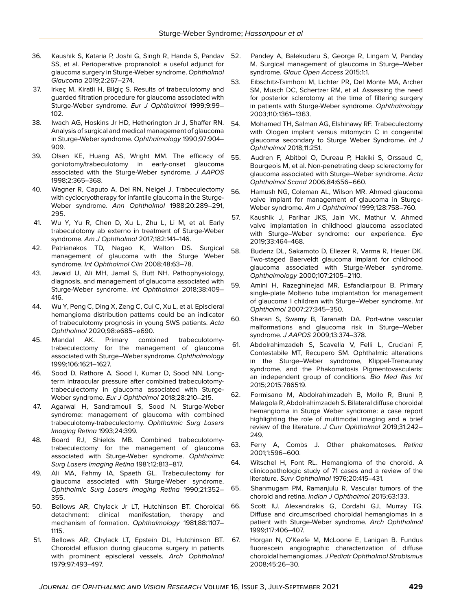- <span id="page-14-16"></span>36. Kaushik S, Kataria P, Joshi G, Singh R, Handa S, Pandav SS, et al. Perioperative propranolol: a useful adjunct for glaucoma surgery in Sturge-Weber syndrome. *Ophthalmol Glaucoma* 2019;2:267–274.
- <span id="page-14-5"></span>37. Irkeç M, Kiratli H, Bilgiç S. Results of trabeculotomy and guarded filtration procedure for glaucoma associated with Sturge-Weber syndrome. *Eur J Ophthalmol* 1999;9:99– 102.
- <span id="page-14-1"></span>38. Iwach AG, Hoskins Jr HD, Hetherington Jr J, Shaffer RN. Analysis of surgical and medical management of glaucoma in Sturge-Weber syndrome. *Ophthalmology* 1990;97:904– 909.
- <span id="page-14-3"></span>39. Olsen KE, Huang AS, Wright MM. The efficacy of 55. goniotomy/trabeculotomy in early-onset glaucoma associated with the Sturge-Weber syndrome. *J AAPOS* 1998;2:365–368.
- <span id="page-14-0"></span>40. Wagner R, Caputo A, Del RN, Neigel J. Trabeculectomy with cyclocryotherapy for infantile glaucoma in the Sturge-Weber syndrome. *Ann Ophthalmol* 1988;20:289–291, 295.
- <span id="page-14-17"></span>41. Wu Y, Yu R, Chen D, Xu L, Zhu L, Li M, et al. Early trabeculotomy ab externo in treatment of Sturge-Weber syndrome. *Am J Ophthalmol* 2017;182:141–146.
- <span id="page-14-18"></span>42. Patrianakos TD, Nagao K, Walton DS. Surgical management of glaucoma with the Sturge Weber syndrome. *Int Ophthalmol Clin* 2008;48:63–78.
- <span id="page-14-19"></span>43. Javaid U, Ali MH, Jamal S, Butt NH. Pathophysiology, diagnosis, and management of glaucoma associated with Sturge-Weber syndrome. *Int Ophthalmol* 2018;38:409– 416.
- <span id="page-14-4"></span>44. Wu Y, Peng C, Ding X, Zeng C, Cui C, Xu L, et al. Episcleral hemangioma distribution patterns could be an indicator of trabeculotomy prognosis in young SWS patients. *Acta Ophthalmol* 2020;98:e685–e690.
- <span id="page-14-9"></span>45. Mandal AK. Primary combined trabeculotomytrabeculectomy for the management of glaucoma associated with Sturge–Weber syndrome. *Ophthalmology* 1999;106:1621–1627.
- <span id="page-14-6"></span>46. Sood D, Rathore A, Sood I, Kumar D, Sood NN. Longterm intraocular pressure after combined trabeculotomytrabeculectomy in glaucoma associated with Sturge-Weber syndrome. *Eur J Ophthalmol* 2018;28:210–215.
- <span id="page-14-8"></span>47. Agarwal H, Sandramouli S, Sood N. Sturge-Weber syndrome: management of glaucoma with combined trabeculotomy-trabeculectomy. *Ophthalmic Surg Lasers Imaging Retina* 1993;24:399.
- <span id="page-14-7"></span>48. Board RJ, Shields MB. Combined trabeculotomytrabeculectomy for the management of glaucoma associated with Sturge-Weber syndrome. *Ophthalmic Surg Lasers Imaging Retina* 1981;12:813–817.
- <span id="page-14-2"></span>49. Ali MA, Fahmy IA, Spaeth GL. Trabeculectomy for glaucoma associated with Sturge-Weber syndrome. *Ophthalmic Surg Lasers Imaging Retina* 1990;21:352– 355.
- <span id="page-14-20"></span>50. Bellows AR, Chylack Jr LT, Hutchinson BT. Choroidal detachment: clinical manifestation, therapy and mechanism of formation. *Ophthalmology* 1981;88:1107– 1115.
- <span id="page-14-21"></span>51. Bellows AR, Chylack LT, Epstein DL, Hutchinson BT. Choroidal effusion during glaucoma surgery in patients with prominent episcleral vessels. *Arch Ophthalmol* 1979;97:493–497.
- <span id="page-14-22"></span>52. Pandey A, Balekudaru S, George R, Lingam V, Panday M. Surgical management of glaucoma in Sturge–Weber syndrome. *Glauc Open Access* 2015;1:1.
- <span id="page-14-23"></span>53. Eibschitz-Tsimhoni M, Lichter PR, Del Monte MA, Archer SM, Musch DC, Schertzer RM, et al. Assessing the need for posterior sclerotomy at the time of filtering surgery in patients with Sturge-Weber syndrome. *Ophthalmology* 2003;110:1361–1363.
- <span id="page-14-15"></span><span id="page-14-10"></span>54. Mohamed TH, Salman AG, Elshinawy RF. Trabeculectomy with Ologen implant versus mitomycin C in congenital glaucoma secondary to Sturge Weber Syndrome. *Int J Ophthalmol* 2018;11:251.
	- Audren F, Abitbol O, Dureau P, Hakiki S, Orssaud C, Bourgeois M, et al. Non-penetrating deep sclerectomy for glaucoma associated with Sturge–Weber syndrome. *Acta Ophthalmol Scand* 2006;84:656–660.
- <span id="page-14-11"></span>56. Hamush NG, Coleman AL, Wilson MR. Ahmed glaucoma valve implant for management of glaucoma in Sturge-Weber syndrome. *Am J Ophthalmol* 1999;128:758–760.
- <span id="page-14-12"></span>57. Kaushik J, Parihar JKS, Jain VK, Mathur V. Ahmed valve implantation in childhood glaucoma associated with Sturge–Weber syndrome: our experience. *Eye* 2019;33:464–468.
- <span id="page-14-13"></span>58. Budenz DL, Sakamoto D, Eliezer R, Varma R, Heuer DK. Two-staged Baerveldt glaucoma implant for childhood glaucoma associated with Sturge-Weber syndrome. *Ophthalmology* 2000;107:2105–2110.
- <span id="page-14-14"></span>59. Amini H, Razeghinejad MR, Esfandiarpour B. Primary single-plate Molteno tube implantation for management of glaucoma I children with Sturge–Weber syndrome. *Int Ophthalmol* 2007;27:345–350.
- <span id="page-14-24"></span>60. Sharan S, Swamy B, Taranath DA. Port-wine vascular malformations and glaucoma risk in Sturge–Weber syndrome. *J AAPOS* 2009;13:374–378.
- <span id="page-14-25"></span>61. Abdolrahimzadeh S, Scavella V, Felli L, Cruciani F, Contestabile MT, Recupero SM. Ophthalmic alterations in the Sturge–Weber syndrome, Klippel-Trenaunay syndrome, and the Phakomatosis Pigmentovascularis: an independent group of conditions. *Bio Med Res Int* 2015;2015:786519.
- <span id="page-14-26"></span>62. Formisano M, Abdolrahimzadeh B, Mollo R, Bruni P, Malagola R, Abdolrahimzadeh S. Bilateral diffuse choroidal hemangioma in Sturge Weber syndrome: a case report highlighting the role of multimodal imaging and a brief review of the literature. *J Curr Ophthalmol* 2019;31:242– 249.
- <span id="page-14-27"></span>63. Ferry A, Combs J. Other phakomatoses. *Retina* 2001;1:596–600.
- <span id="page-14-28"></span>64. Witschel H, Font RL. Hemangioma of the choroid. A clinicopathologic study of 71 cases and a review of the literature. *Surv Ophthalmol* 1976;20:415–431.
- <span id="page-14-29"></span>65. Shanmugam PM, Ramanjulu R. Vascular tumors of the choroid and retina. *Indian J Ophthalmol* 2015;63:133.
- <span id="page-14-30"></span>66. Scott IU, Alexandrakis G, Cordahi GJ, Murray TG. Diffuse and circumscribed choroidal hemangiomas in a patient with Sturge-Weber syndrome. *Arch Ophthalmol* 1999;117:406–407.
- <span id="page-14-31"></span>67. Horgan N, O'Keefe M, McLoone E, Lanigan B. Fundus fluorescein angiographic characterization of diffuse choroidal hemangiomas. *J Pediatr Ophthalmol Strabismus* 2008;45:26–30.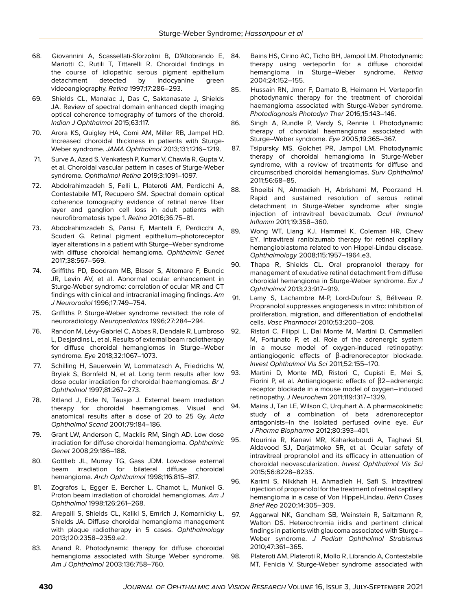- <span id="page-15-4"></span>68. Giovannini A, Scassellati-Sforzolini B, D'Altobrando E, Mariotti C, Rutili T, Tittarelli R. Choroidal findings in the course of idiopathic serous pigment epithelium detachment detected by indocyanine green videoangiography. *Retina* 1997;17:286–293.
- <span id="page-15-5"></span>69. Shields CL, Manalac J, Das C, Saktanasate J, Shields JA. Review of spectral domain enhanced depth imaging optical coherence tomography of tumors of the choroid. *Indian J Ophthalmol* 2015;63:117.
- <span id="page-15-6"></span>70. Arora KS, Quigley HA, Comi AM, Miller RB, Jampel HD. Increased choroidal thickness in patients with Sturge-Weber syndrome. *JAMA Ophthalmol* 2013;131:1216–1219.
- <span id="page-15-7"></span>71. Surve A, Azad S, Venkatesh P, Kumar V, Chawla R, Gupta V, et al. Choroidal vascular pattern in cases of Sturge-Weber syndrome. *Ophthalmol Retina* 2019;3:1091–1097.
- <span id="page-15-8"></span>72. Abdolrahimzadeh S, Felli L, Plateroti AM, Perdicchi A, Contestabile MT, Recupero SM. Spectral domain optical coherence tomography evidence of retinal nerve fiber layer and ganglion cell loss in adult patients with neurofibromatosis type 1. *Retina* 2016;36:75–81.
- <span id="page-15-9"></span>73. Abdolrahimzadeh S, Parisi F, Mantelli F, Perdicchi A, Scuderi G. Retinal pigment epithelium–photoreceptor layer alterations in a patient with Sturge–Weber syndrome with diffuse choroidal hemangioma. *Ophthalmic Genet* 2017;38:567–569.
- <span id="page-15-10"></span>74. Griffiths PD, Boodram MB, Blaser S, Altomare F, Buncic JR, Levin AV, et al. Abnormal ocular enhancement in Sturge-Weber syndrome: correlation of ocular MR and CT findings with clinical and intracranial imaging findings. *Am J Neuroradiol* 1996;17:749–754.
- <span id="page-15-11"></span>75. Griffiths P. Sturge-Weber syndrome revisited: the role of neuroradiology. *Neuropediatrics* 1996;27:284–294.
- <span id="page-15-0"></span>76. Randon M, Lévy-Gabriel C, Abbas R, Dendale R, Lumbroso L, Desjardins L, et al. Results of external beam radiotherapy for diffuse choroidal hemangiomas in Sturge–Weber syndrome. *Eye* 2018;32:1067–1073.
- <span id="page-15-1"></span>77. Schilling H, Sauerwein W, Lommatzsch A, Friedrichs W, Brylak S, Bornfeld N, et al. Long term results after low dose ocular irradiation for choroidal haemangiomas. *Br J Ophthalmol* 1997;81:267–273.
- <span id="page-15-12"></span>78. Ritland J, Eide N, Tausjø J. External beam irradiation therapy for choroidal haemangiomas. Visual and anatomical results after a dose of 20 to 25 Gy. *Acta Ophthalmol Scand* 2001;79:184–186.
- 79. Grant LW, Anderson C, Macklis RM, Singh AD. Low dose irradiation for diffuse choroidal hemangioma. *Ophthalmic Genet* 2008;29:186–188.
- <span id="page-15-13"></span>80. Gottlieb JL, Murray TG, Gass JDM. Low-dose external beam irradiation for bilateral diffuse choroidal hemangioma. *Arch Ophthalmol* 1998;116:815–817.
- <span id="page-15-3"></span>81. Zografos L, Egger E, Bercher L, Chamot L, Munkel G. Proton beam irradiation of choroidal hemangiomas. *Am J Ophthalmol* 1998;126:261–268.
- <span id="page-15-2"></span>82. Arepalli S, Shields CL, Kaliki S, Emrich J, Komarnicky L, Shields JA. Diffuse choroidal hemangioma management with plaque radiotherapy in 5 cases. *Ophthalmology* 2013;120:2358–2359.e2.
- <span id="page-15-14"></span>83. Anand R. Photodynamic therapy for diffuse choroidal hemangioma associated with Sturge Weber syndrome. 98. *Am J Ophthalmol* 2003;136:758–760.
- 84. Bains HS, Cirino AC, Ticho BH, Jampol LM. Photodynamic therapy using verteporfin for a diffuse choroidal hemangioma in Sturge–Weber syndrome. *Retina* 2004;24:152–155.
- 85. Hussain RN, Jmor F, Damato B, Heimann H. Verteporfin photodynamic therapy for the treatment of choroidal haemangioma associated with Sturge-Weber syndrome. *Photodiagnosis Photodyn Ther* 2016;15:143–146.
- 86. Singh A, Rundle P, Vardy S, Rennie I. Photodynamic therapy of choroidal haemangioma associated with Sturge–Weber syndrome. *Eye* 2005;19:365–367.
- <span id="page-15-15"></span>87. Tsipursky MS, Golchet PR, Jampol LM. Photodynamic therapy of choroidal hemangioma in Sturge-Weber syndrome, with a review of treatments for diffuse and circumscribed choroidal hemangiomas. *Surv Ophthalmol* 2011;56:68–85.
- <span id="page-15-16"></span>88. Shoeibi N, Ahmadieh H, Abrishami M, Poorzand H. Rapid and sustained resolution of serous retinal detachment in Sturge-Weber syndrome after single injection of intravitreal bevacizumab. *Ocul Immunol Inflamm* 2011;19:358–360.
- <span id="page-15-17"></span>89. Wong WT, Liang KJ, Hammel K, Coleman HR, Chew EY. Intravitreal ranibizumab therapy for retinal capillary hemangioblastoma related to von Hippel-Lindau disease. *Ophthalmology* 2008;115:1957–1964.e3.
- <span id="page-15-18"></span>90. Thapa R, Shields CL. Oral propranolol therapy for management of exudative retinal detachment from diffuse choroidal hemangioma in Sturge-Weber syndrome. *Eur J Ophthalmol* 2013;23:917–919.
- <span id="page-15-19"></span>91. Lamy S, Lachambre M-P, Lord-Dufour S, Béliveau R. Propranolol suppresses angiogenesis in vitro: inhibition of proliferation, migration, and differentiation of endothelial cells. *Vasc Pharmacol* 2010;53:200–208.
- <span id="page-15-20"></span>92. Ristori C, Filippi L, Dal Monte M, Martini D, Cammalleri M, Fortunato P, et al. Role of the adrenergic system in a mouse model of oxygen-induced retinopathy: antiangiogenic effects of β-adrenoreceptor blockade. *Invest Ophthalmol Vis Sci* 2011;52:155–170.
- <span id="page-15-21"></span>93. Martini D, Monte MD, Ristori C, Cupisti E, Mei S, Fiorini P, et al. Antiangiogenic effects of β2−adrenergic receptor blockade in a mouse model of oxygen−induced retinopathy. *J Neurochem* 2011;119:1317–1329.
- <span id="page-15-22"></span>94. Mains J, Tan LE, Wilson C, Urquhart A. A pharmacokinetic study of a combination of beta adrenoreceptor antagonists–In the isolated perfused ovine eye. *Eur J Pharma Biopharma* 2012;80:393–401.
- <span id="page-15-23"></span>95. Nourinia R, Kanavi MR, Kaharkaboudi A, Taghavi SI, Aldavood SJ, Darjatmoko SR, et al. Ocular safety of intravitreal propranolol and its efficacy in attenuation of choroidal neovascularization. *Invest Ophthalmol Vis Sci* 2015;56:8228–8235.
- <span id="page-15-24"></span>96. Karimi S, Nikkhah H, Ahmadieh H, Safi S. Intravitreal injection of propranolol for the treatment of retinal capillary hemangioma in a case of Von Hippel-Lindau. *Retin Cases Brief Rep* 2020;14:305–309.
- <span id="page-15-26"></span><span id="page-15-25"></span>97. Aggarwal NK, Gandham SB, Weinstein R, Saltzmann R, Walton DS. Heterochromia iridis and pertinent clinical findings in patients with glaucoma associated with Sturge– Weber syndrome. *J Pediatr Ophthalmol Strabismus* 2010;47:361–365.
	- Plateroti AM, Plateroti R, Mollo R, Librando A, Contestabile MT, Fenicia V. Sturge-Weber syndrome associated with